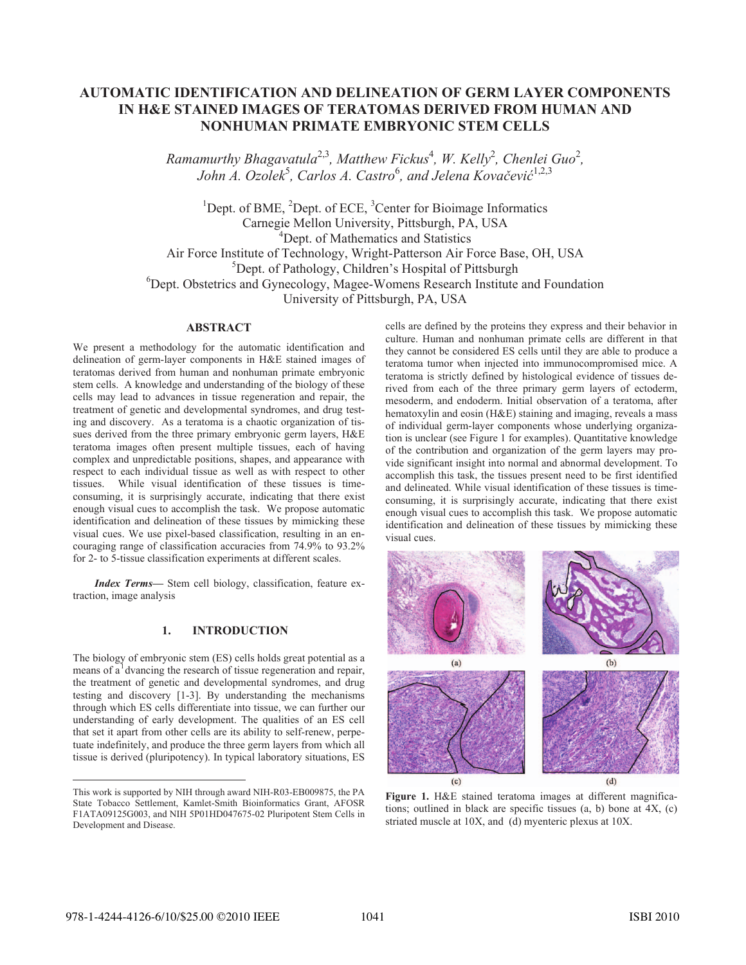# **AUTOMATIC IDENTIFICATION AND DELINEATION OF GERM LAYER COMPONENTS IN H&E STAINED IMAGES OF TERATOMAS DERIVED FROM HUMAN AND NONHUMAN PRIMATE EMBRYONIC STEM CELLS**

*Ramamurthy Bhagavatula*<sup>2,3</sup>, Matthew Fickus<sup>4</sup>, W. Kelly<sup>2</sup>, Chenlei Guo<sup>2</sup>, *John A. Ozolek<sup>5</sup>, Carlos A. Castro*<sup>6</sup>, and Jelena Kovačević<sup>1,2,3</sup>

<sup>1</sup>Dept. of BME, <sup>2</sup>Dept. of ECE, <sup>3</sup>Center for Bioimage Informatics Carnegie Mellon University, Pittsburgh, PA, USA 4 Dept. of Mathematics and Statistics Air Force Institute of Technology, Wright-Patterson Air Force Base, OH, USA 5 Dept. of Pathology, Children's Hospital of Pittsburgh 6 Dept. Obstetrics and Gynecology, Magee-Womens Research Institute and Foundation University of Pittsburgh, PA, USA

#### **ABSTRACT**

We present a methodology for the automatic identification and delineation of germ-layer components in H&E stained images of teratomas derived from human and nonhuman primate embryonic stem cells. A knowledge and understanding of the biology of these cells may lead to advances in tissue regeneration and repair, the treatment of genetic and developmental syndromes, and drug testing and discovery. As a teratoma is a chaotic organization of tissues derived from the three primary embryonic germ layers, H&E teratoma images often present multiple tissues, each of having complex and unpredictable positions, shapes, and appearance with respect to each individual tissue as well as with respect to other tissues. While visual identification of these tissues is timeconsuming, it is surprisingly accurate, indicating that there exist enough visual cues to accomplish the task. We propose automatic identification and delineation of these tissues by mimicking these visual cues. We use pixel-based classification, resulting in an encouraging range of classification accuracies from 74.9% to 93.2% for 2- to 5-tissue classification experiments at different scales.

*Index Terms—* Stem cell biology, classification, feature extraction, image analysis

### **1. INTRODUCTION**

The biology of embryonic stem (ES) cells holds great potential as a means of a<sup>1</sup> dvancing the research of tissue regeneration and repair, the treatment of genetic and developmental syndromes, and drug testing and discovery [1-3]. By understanding the mechanisms through which ES cells differentiate into tissue, we can further our understanding of early development. The qualities of an ES cell that set it apart from other cells are its ability to self-renew, perpetuate indefinitely, and produce the three germ layers from which all tissue is derived (pluripotency). In typical laboratory situations, ES

cells are defined by the proteins they express and their behavior in culture. Human and nonhuman primate cells are different in that they cannot be considered ES cells until they are able to produce a teratoma tumor when injected into immunocompromised mice. A teratoma is strictly defined by histological evidence of tissues derived from each of the three primary germ layers of ectoderm, mesoderm, and endoderm. Initial observation of a teratoma, after hematoxylin and eosin (H&E) staining and imaging, reveals a mass of individual germ-layer components whose underlying organization is unclear (see Figure 1 for examples). Quantitative knowledge of the contribution and organization of the germ layers may provide significant insight into normal and abnormal development. To accomplish this task, the tissues present need to be first identified and delineated. While visual identification of these tissues is timeconsuming, it is surprisingly accurate, indicating that there exist enough visual cues to accomplish this task. We propose automatic identification and delineation of these tissues by mimicking these visual cues.



**Figure 1.** H&E stained teratoma images at different magnifications; outlined in black are specific tissues (a, b) bone at 4X, (c) striated muscle at 10X, and (d) myenteric plexus at 10X.

 $\overline{a}$ 

This work is supported by NIH through award NIH-R03-EB009875, the PA State Tobacco Settlement, Kamlet-Smith Bioinformatics Grant, AFOSR F1ATA09125G003, and NIH 5P01HD047675-02 Pluripotent Stem Cells in Development and Disease.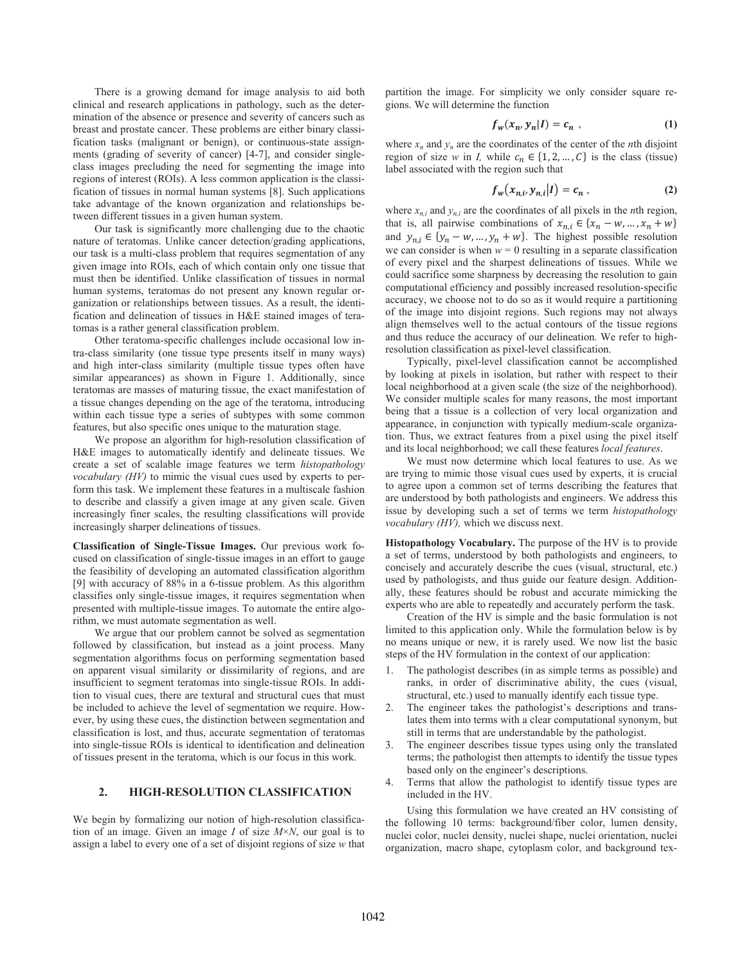There is a growing demand for image analysis to aid both clinical and research applications in pathology, such as the determination of the absence or presence and severity of cancers such as breast and prostate cancer. These problems are either binary classification tasks (malignant or benign), or continuous-state assignments (grading of severity of cancer) [4-7], and consider singleclass images precluding the need for segmenting the image into regions of interest (ROIs). A less common application is the classification of tissues in normal human systems [8]. Such applications take advantage of the known organization and relationships between different tissues in a given human system.

Our task is significantly more challenging due to the chaotic nature of teratomas. Unlike cancer detection/grading applications, our task is a multi-class problem that requires segmentation of any given image into ROIs, each of which contain only one tissue that must then be identified. Unlike classification of tissues in normal human systems, teratomas do not present any known regular organization or relationships between tissues. As a result, the identification and delineation of tissues in H&E stained images of teratomas is a rather general classification problem.

Other teratoma-specific challenges include occasional low intra-class similarity (one tissue type presents itself in many ways) and high inter-class similarity (multiple tissue types often have similar appearances) as shown in Figure 1. Additionally, since teratomas are masses of maturing tissue, the exact manifestation of a tissue changes depending on the age of the teratoma, introducing within each tissue type a series of subtypes with some common features, but also specific ones unique to the maturation stage.

We propose an algorithm for high-resolution classification of H&E images to automatically identify and delineate tissues. We create a set of scalable image features we term *histopathology vocabulary (HV)* to mimic the visual cues used by experts to perform this task. We implement these features in a multiscale fashion to describe and classify a given image at any given scale. Given increasingly finer scales, the resulting classifications will provide increasingly sharper delineations of tissues.

**Classification of Single-Tissue Images.** Our previous work focused on classification of single-tissue images in an effort to gauge the feasibility of developing an automated classification algorithm [9] with accuracy of 88% in a 6-tissue problem. As this algorithm classifies only single-tissue images, it requires segmentation when presented with multiple-tissue images. To automate the entire algorithm, we must automate segmentation as well.

We argue that our problem cannot be solved as segmentation followed by classification, but instead as a joint process. Many segmentation algorithms focus on performing segmentation based on apparent visual similarity or dissimilarity of regions, and are insufficient to segment teratomas into single-tissue ROIs. In addition to visual cues, there are textural and structural cues that must be included to achieve the level of segmentation we require. However, by using these cues, the distinction between segmentation and classification is lost, and thus, accurate segmentation of teratomas into single-tissue ROIs is identical to identification and delineation of tissues present in the teratoma, which is our focus in this work.

#### **2. HIGH-RESOLUTION CLASSIFICATION**

We begin by formalizing our notion of high-resolution classification of an image. Given an image *I* of size *M*×*N*, our goal is to assign a label to every one of a set of disjoint regions of size *w* that partition the image. For simplicity we only consider square regions. We will determine the function

$$
f_w(x_n, y_n|I) = c_n , \qquad (1)
$$

where  $x_n$  and  $y_n$  are the coordinates of the center of the *n*th disjoint region of size *w* in *I*, while  $c_n \in \{1, 2, ..., C\}$  is the class (tissue) label associated with the region such that

$$
f_w(x_{n,i}, y_{n,i}|I) = c_n , \qquad (2)
$$

where  $x_{n,i}$  and  $y_{n,i}$  are the coordinates of all pixels in the *n*th region, that is, all pairwise combinations of  $x_{n,i} \in \{x_n - w, ..., x_n + w\}$ and  $y_{n,i} \in \{y_n - w, ..., y_n + w\}$ . The highest possible resolution we can consider is when  $w = 0$  resulting in a separate classification of every pixel and the sharpest delineations of tissues. While we could sacrifice some sharpness by decreasing the resolution to gain computational efficiency and possibly increased resolution-specific accuracy, we choose not to do so as it would require a partitioning of the image into disjoint regions. Such regions may not always align themselves well to the actual contours of the tissue regions and thus reduce the accuracy of our delineation. We refer to highresolution classification as pixel-level classification.

Typically, pixel-level classification cannot be accomplished by looking at pixels in isolation, but rather with respect to their local neighborhood at a given scale (the size of the neighborhood). We consider multiple scales for many reasons, the most important being that a tissue is a collection of very local organization and appearance, in conjunction with typically medium-scale organization. Thus, we extract features from a pixel using the pixel itself and its local neighborhood; we call these features *local features*.

We must now determine which local features to use. As we are trying to mimic those visual cues used by experts, it is crucial to agree upon a common set of terms describing the features that are understood by both pathologists and engineers. We address this issue by developing such a set of terms we term *histopathology vocabulary (HV),* which we discuss next.

**Histopathology Vocabulary.** The purpose of the HV is to provide a set of terms, understood by both pathologists and engineers, to concisely and accurately describe the cues (visual, structural, etc.) used by pathologists, and thus guide our feature design. Additionally, these features should be robust and accurate mimicking the experts who are able to repeatedly and accurately perform the task.

Creation of the HV is simple and the basic formulation is not limited to this application only. While the formulation below is by no means unique or new, it is rarely used. We now list the basic steps of the HV formulation in the context of our application:

- 1. The pathologist describes (in as simple terms as possible) and ranks, in order of discriminative ability, the cues (visual, structural, etc.) used to manually identify each tissue type.
- 2. The engineer takes the pathologist's descriptions and translates them into terms with a clear computational synonym, but still in terms that are understandable by the pathologist.
- 3. The engineer describes tissue types using only the translated terms; the pathologist then attempts to identify the tissue types based only on the engineer's descriptions.
- 4. Terms that allow the pathologist to identify tissue types are included in the HV.

Using this formulation we have created an HV consisting of the following 10 terms: background/fiber color, lumen density, nuclei color, nuclei density, nuclei shape, nuclei orientation, nuclei organization, macro shape, cytoplasm color, and background tex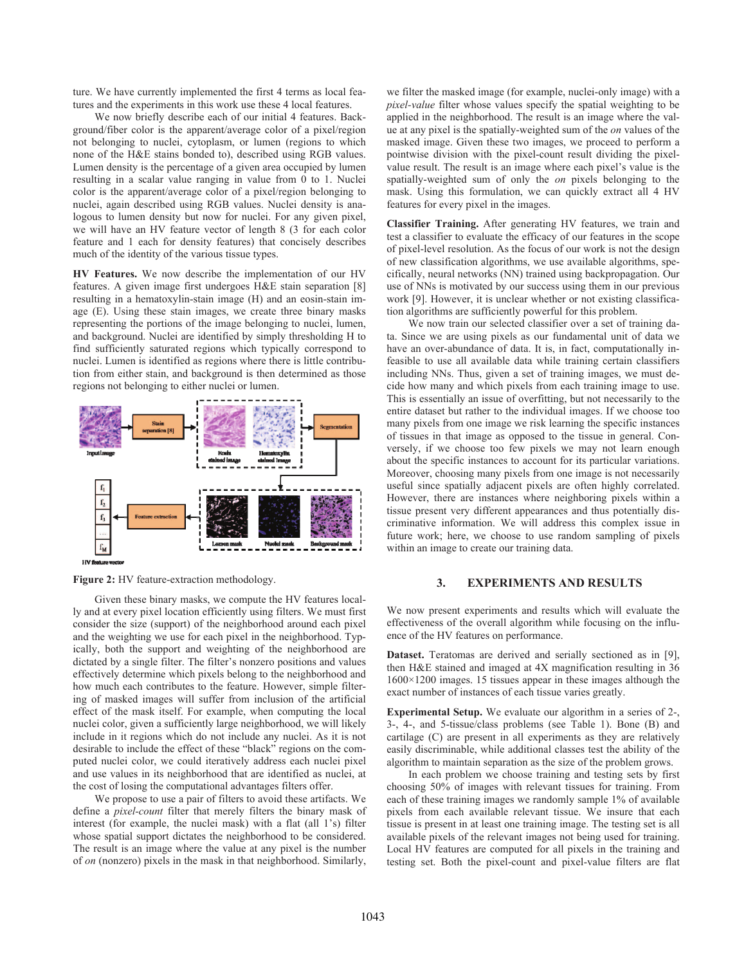ture. We have currently implemented the first 4 terms as local features and the experiments in this work use these 4 local features.

We now briefly describe each of our initial 4 features. Background/fiber color is the apparent/average color of a pixel/region not belonging to nuclei, cytoplasm, or lumen (regions to which none of the H&E stains bonded to), described using RGB values. Lumen density is the percentage of a given area occupied by lumen resulting in a scalar value ranging in value from 0 to 1. Nuclei color is the apparent/average color of a pixel/region belonging to nuclei, again described using RGB values. Nuclei density is analogous to lumen density but now for nuclei. For any given pixel, we will have an HV feature vector of length 8 (3 for each color feature and 1 each for density features) that concisely describes much of the identity of the various tissue types.

**HV Features.** We now describe the implementation of our HV features. A given image first undergoes H&E stain separation [8] resulting in a hematoxylin-stain image (H) and an eosin-stain image (E). Using these stain images, we create three binary masks representing the portions of the image belonging to nuclei, lumen, and background. Nuclei are identified by simply thresholding H to find sufficiently saturated regions which typically correspond to nuclei. Lumen is identified as regions where there is little contribution from either stain, and background is then determined as those regions not belonging to either nuclei or lumen.



**Figure 2:** HV feature-extraction methodology.

Given these binary masks, we compute the HV features locally and at every pixel location efficiently using filters. We must first consider the size (support) of the neighborhood around each pixel and the weighting we use for each pixel in the neighborhood. Typically, both the support and weighting of the neighborhood are dictated by a single filter. The filter's nonzero positions and values effectively determine which pixels belong to the neighborhood and how much each contributes to the feature. However, simple filtering of masked images will suffer from inclusion of the artificial effect of the mask itself. For example, when computing the local nuclei color, given a sufficiently large neighborhood, we will likely include in it regions which do not include any nuclei. As it is not desirable to include the effect of these "black" regions on the computed nuclei color, we could iteratively address each nuclei pixel and use values in its neighborhood that are identified as nuclei, at the cost of losing the computational advantages filters offer.

We propose to use a pair of filters to avoid these artifacts. We define a *pixel-count* filter that merely filters the binary mask of interest (for example, the nuclei mask) with a flat (all 1's) filter whose spatial support dictates the neighborhood to be considered. The result is an image where the value at any pixel is the number of *on* (nonzero) pixels in the mask in that neighborhood. Similarly,

we filter the masked image (for example, nuclei-only image) with a *pixel-value* filter whose values specify the spatial weighting to be applied in the neighborhood. The result is an image where the value at any pixel is the spatially-weighted sum of the *on* values of the masked image. Given these two images, we proceed to perform a pointwise division with the pixel-count result dividing the pixelvalue result. The result is an image where each pixel's value is the spatially-weighted sum of only the *on* pixels belonging to the mask. Using this formulation, we can quickly extract all 4 HV features for every pixel in the images.

**Classifier Training.** After generating HV features, we train and test a classifier to evaluate the efficacy of our features in the scope of pixel-level resolution. As the focus of our work is not the design of new classification algorithms, we use available algorithms, specifically, neural networks (NN) trained using backpropagation. Our use of NNs is motivated by our success using them in our previous work [9]. However, it is unclear whether or not existing classification algorithms are sufficiently powerful for this problem.

We now train our selected classifier over a set of training data. Since we are using pixels as our fundamental unit of data we have an over-abundance of data. It is, in fact, computationally infeasible to use all available data while training certain classifiers including NNs. Thus, given a set of training images, we must decide how many and which pixels from each training image to use. This is essentially an issue of overfitting, but not necessarily to the entire dataset but rather to the individual images. If we choose too many pixels from one image we risk learning the specific instances of tissues in that image as opposed to the tissue in general. Conversely, if we choose too few pixels we may not learn enough about the specific instances to account for its particular variations. Moreover, choosing many pixels from one image is not necessarily useful since spatially adjacent pixels are often highly correlated. However, there are instances where neighboring pixels within a tissue present very different appearances and thus potentially discriminative information. We will address this complex issue in future work; here, we choose to use random sampling of pixels within an image to create our training data.

## **3. EXPERIMENTS AND RESULTS**

We now present experiments and results which will evaluate the effectiveness of the overall algorithm while focusing on the influence of the HV features on performance.

**Dataset.** Teratomas are derived and serially sectioned as in [9], then H&E stained and imaged at 4X magnification resulting in 36 1600×1200 images. 15 tissues appear in these images although the exact number of instances of each tissue varies greatly.

**Experimental Setup.** We evaluate our algorithm in a series of 2-, 3-, 4-, and 5-tissue/class problems (see Table 1). Bone (B) and cartilage (C) are present in all experiments as they are relatively easily discriminable, while additional classes test the ability of the algorithm to maintain separation as the size of the problem grows.

In each problem we choose training and testing sets by first choosing 50% of images with relevant tissues for training. From each of these training images we randomly sample 1% of available pixels from each available relevant tissue. We insure that each tissue is present in at least one training image. The testing set is all available pixels of the relevant images not being used for training. Local HV features are computed for all pixels in the training and testing set. Both the pixel-count and pixel-value filters are flat